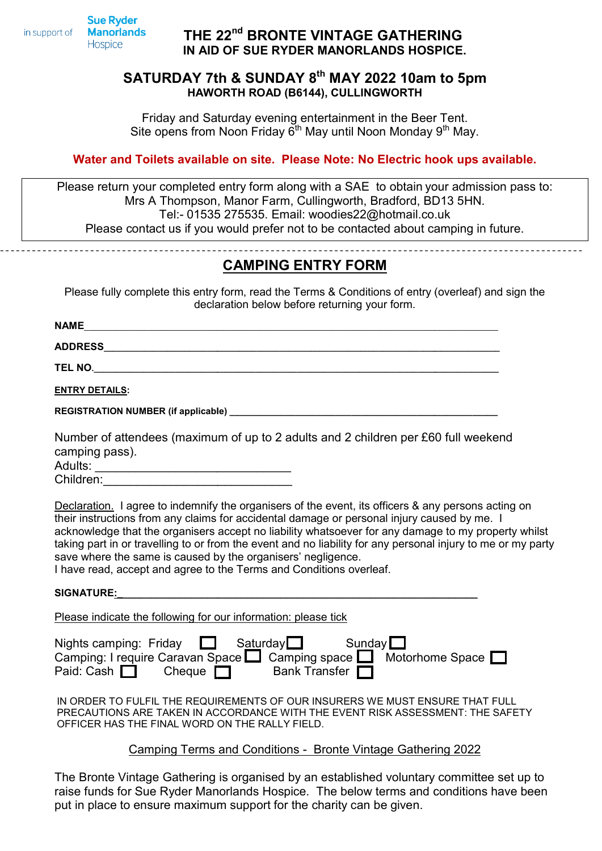**Manorlands** in support of

# Hospice

**Sue Ryder** 

## THE 22<sup>nd</sup> BRONTE VINTAGE GATHERING IN AID AID OF SUE RYDER MANORLANDS HOSPICE.

### SATURDAY 7th & SUNDAY 8<sup>th</sup> MAY 2022 10am to 5pm HAWORTH ROAD (B6144), CULLINGWORTH HAWORTH

Friday and Saturday evening entertainment in the Beer Tent Tent. Site opens from Noon Friday  $\vec{6}^{\text{th}}$  May until Noon Monday 9<sup>th</sup> May.

### Water and Toilets available on site. Please Note: No Electric hook ups available.

Please return your completed entry form along with a SAE to obtain your admission pass to: Mrs A Thompson, Manor Farm, Cullingworth, Bradford, BD13 5HN. Tel:- 01535 275535. Email: woodies22@hotmail.co.uk Please contact us if you would prefer not to be contacted about camping in future.

CAMPING ENTRY FORM

Please fully complete this entry form, read the Terms & Conditions of entry (overleaf) and sign the declaration below before returning your form.

\_\_\_\_\_\_\_\_\_\_\_\_\_\_\_\_\_\_\_\_\_\_\_\_\_\_\_\_\_\_\_\_\_\_\_\_\_\_\_\_\_\_\_\_\_\_\_\_\_\_\_\_\_\_\_\_\_\_\_\_\_\_\_\_\_\_\_\_\_\_\_\_\_\_\_\_\_\_\_\_\_\_\_\_\_\_\_\_\_\_\_\_

 $NAME$ 

ADDRESS\_\_\_\_\_\_\_\_\_\_\_\_\_\_\_\_\_\_\_\_\_\_\_\_\_\_\_\_\_\_\_\_\_\_\_\_\_\_\_\_\_\_\_\_\_\_\_\_\_\_\_\_\_\_\_\_\_\_\_\_\_\_\_\_\_\_\_\_\_\_\_\_\_\_\_\_\_\_\_\_ \_\_\_\_\_\_\_\_\_\_\_\_\_\_\_\_\_\_\_\_\_\_\_\_\_\_\_\_\_\_\_\_\_\_\_\_\_\_\_\_\_\_\_\_\_\_\_\_\_\_\_\_\_\_\_\_\_\_\_\_\_\_\_\_\_\_\_\_\_\_\_\_\_\_\_\_\_\_\_\_\_\_\_\_\_\_\_\_

TEL NO.\_\_\_\_\_\_\_\_\_\_\_\_\_\_\_\_\_\_\_\_\_\_\_\_\_\_\_\_\_\_\_\_\_\_\_\_\_\_\_\_\_\_\_\_\_\_\_\_\_\_\_\_\_\_\_\_\_\_\_\_\_\_\_\_\_\_\_\_\_\_\_\_\_\_\_\_\_\_\_\_\_\_\_\_\_\_\_\_\_ .\_\_\_\_\_\_\_\_\_\_\_\_\_\_\_\_\_\_\_\_\_\_\_\_\_\_\_\_\_\_\_\_\_\_\_\_\_\_\_\_\_\_\_\_\_\_\_\_\_\_\_\_\_\_\_\_\_\_\_\_\_\_\_\_\_\_\_\_\_\_\_\_\_\_\_\_\_\_\_\_\_\_\_\_\_\_\_\_\_\_

ENTRY DETAILS:

REGISTRATION NUMBER (if applicable) (if applicable) \_\_\_\_\_\_\_\_\_\_\_\_\_\_\_\_\_\_\_\_\_\_\_\_\_\_\_\_\_\_\_\_\_\_\_\_\_\_\_\_\_\_\_\_\_\_\_\_\_\_\_\_\_ \_\_\_\_\_\_\_\_\_\_\_\_\_\_\_\_\_\_\_\_\_\_\_\_\_\_\_\_

Number of attendees (maximum of up to 2 adults and 2 children per £60 full weekend camping pass).

Adults: \_\_\_\_\_\_\_\_\_\_\_\_\_\_\_\_\_\_\_\_\_\_\_\_\_\_\_\_\_

Children:

Declaration. I agree to indemnify the organisers of the event, its officers & any persons acting on their instructions from any claims for accidental damage or personal injury caused by me. I acknowledge that the organisers accept no liability whatsoever for any damage to my property whilst taking part in or travelling to or from the event and no liability for any personal injury to me or my party save where the same is caused by the organisers' negligence. negligence.

I have read, accept and agree to the Terms and Conditions overleaf. Please indicate the following for our information the and Conditions e information: please tick

SIGNATURE:\_\_\_\_\_\_\_\_\_\_\_\_\_\_\_\_\_\_\_\_\_\_\_\_\_\_\_\_\_\_\_\_\_\_\_\_\_\_\_\_\_\_\_\_\_\_\_\_\_\_\_\_\_\_\_\_\_\_\_\_\_\_\_\_

| Nights camping: Friday $\Box$ Saturday $\Box$ Sunday $\Box$                         |  |                      |  |
|-------------------------------------------------------------------------------------|--|----------------------|--|
| Camping: I require Caravan Space $\Box$ Camping space $\Box$ Motorhome Space $\Box$ |  |                      |  |
| Paid: Cash $\Box$ Cheque $\Box$                                                     |  | Bank Transfer $\Box$ |  |

IN ORDER TO FULFIL THE REQUIREMENTS OF OUR INSURERS WE MUST ENSURE THAT FULL PRECAUTIONS ARE TAKEN IN ACCORDANCE WITH THE EVENT RISK ASSESSMENT: THE SAFETY OFFICER HAS THE FINAL WORD ON THE RALLY FIELD. LFIL THE REQUIREMENTS OF OUR INSURERS WE MUST ENSURE THAT FULL<br>RE TAKEN IN ACCORDANCE WITH THE EVENT RISK ASSESSMENT: THE SAFETY<br>E FINAL WORD ON THE RALLY FIELD.

#### Camping Terms and Conditions - Bronte Vintage Gathering 2022

The Bronte Vintage Gathering is organised by an established voluntary committee set up to raise funds for Sue Ryder Manorlands Hospice. The below terms and conditions have been put in place to ensure maximum support for the charity can be given. Vintage Gathering is organised by an established voluntary committee<br>for Sue Ryder Manorlands Hospice. The below terms and conditions h<br>to ensure maximum support for the charity can be given.